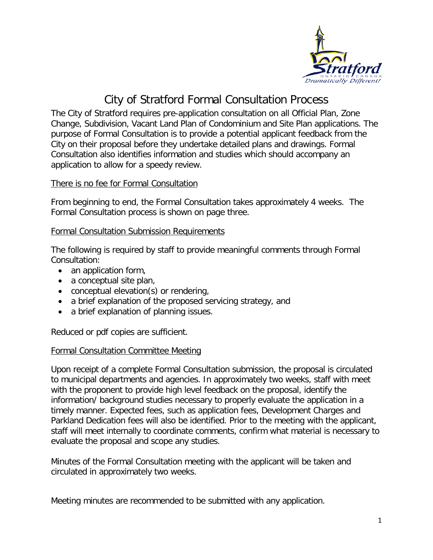

# City of Stratford Formal Consultation Process

The City of Stratford requires pre-application consultation on all Official Plan, Zone Change, Subdivision, Vacant Land Plan of Condominium and Site Plan applications. The purpose of Formal Consultation is to provide a potential applicant feedback from the City on their proposal before they undertake detailed plans and drawings. Formal Consultation also identifies information and studies which should accompany an application to allow for a speedy review.

### There is no fee for Formal Consultation

From beginning to end, the Formal Consultation takes approximately 4 weeks. The Formal Consultation process is shown on page three.

#### Formal Consultation Submission Requirements

The following is required by staff to provide meaningful comments through Formal Consultation:

- an application form,
- a conceptual site plan,
- conceptual elevation(s) or rendering,
- a brief explanation of the proposed servicing strategy, and
- a brief explanation of planning issues.

Reduced or pdf copies are sufficient.

#### Formal Consultation Committee Meeting

Upon receipt of a complete Formal Consultation submission, the proposal is circulated to municipal departments and agencies. In approximately two weeks, staff with meet with the proponent to provide high level feedback on the proposal, identify the information/ background studies necessary to properly evaluate the application in a timely manner. Expected fees, such as application fees, Development Charges and Parkland Dedication fees will also be identified. Prior to the meeting with the applicant, staff will meet internally to coordinate comments, confirm what material is necessary to evaluate the proposal and scope any studies.

Minutes of the Formal Consultation meeting with the applicant will be taken and circulated in approximately two weeks.

Meeting minutes are recommended to be submitted with any application.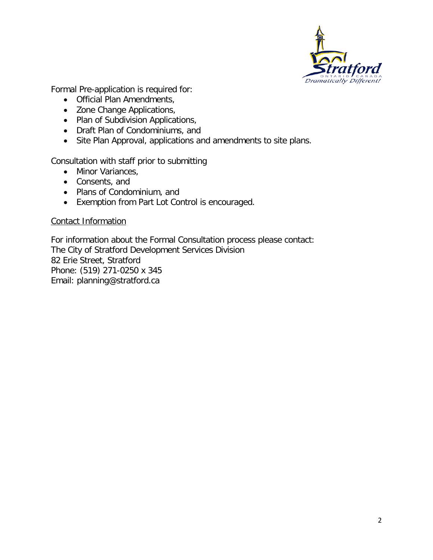

Formal Pre-application is required for:

- Official Plan Amendments,
- Zone Change Applications,
- Plan of Subdivision Applications,
- Draft Plan of Condominiums, and
- Site Plan Approval, applications and amendments to site plans.

Consultation with staff prior to submitting

- Minor Variances,
- Consents, and
- Plans of Condominium, and
- Exemption from Part Lot Control is encouraged.

#### Contact Information

For information about the Formal Consultation process please contact: The City of Stratford Development Services Division 82 Erie Street, Stratford Phone: (519) 271-0250 x 345 Email: planning@stratford.ca